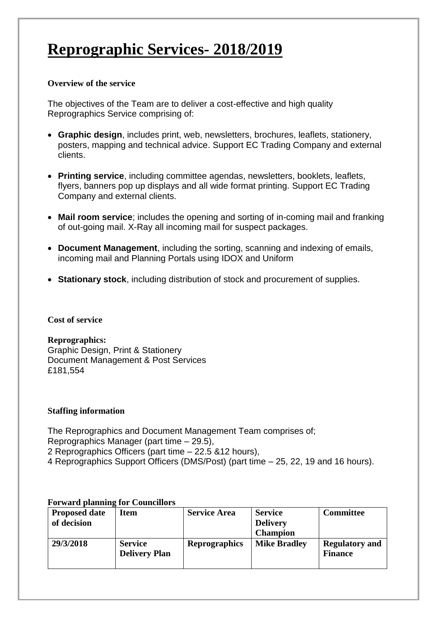# **Reprographic Services- 2018/2019**

### **Overview of the service**

The objectives of the Team are to deliver a cost-effective and high quality Reprographics Service comprising of:

- **Graphic design**, includes print, web, newsletters, brochures, leaflets, stationery, posters, mapping and technical advice. Support EC Trading Company and external clients.
- **Printing service**, including committee agendas, newsletters, booklets, leaflets, flyers, banners pop up displays and all wide format printing. Support EC Trading Company and external clients.
- **Mail room service**; includes the opening and sorting of in-coming mail and franking of out-going mail. X-Ray all incoming mail for suspect packages.
- **Document Management**, including the sorting, scanning and indexing of emails, incoming mail and Planning Portals using IDOX and Uniform
- **Stationary stock**, including distribution of stock and procurement of supplies.

### **Cost of service**

# **Reprographics:**

Graphic Design, Print & Stationery Document Management & Post Services £181,554

# **Staffing information**

The Reprographics and Document Management Team comprises of; Reprographics Manager (part time – 29.5), 2 Reprographics Officers (part time – 22.5 &12 hours), 4 Reprographics Support Officers (DMS/Post) (part time – 25, 22, 19 and 16 hours).

### **Forward planning for Councillors**

| <b>Proposed date</b><br>of decision | Item                                   | <b>Service Area</b>  | <b>Service</b><br><b>Delivery</b><br><b>Champion</b> | <b>Committee</b>                        |
|-------------------------------------|----------------------------------------|----------------------|------------------------------------------------------|-----------------------------------------|
| 29/3/2018                           | <b>Service</b><br><b>Delivery Plan</b> | <b>Reprographics</b> | <b>Mike Bradley</b>                                  | <b>Regulatory and</b><br><b>Finance</b> |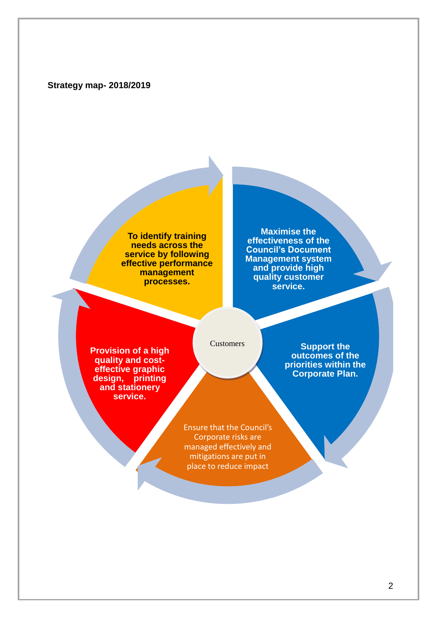### **Strategy map- 2018/2019**

**To identify training needs across the service by following effective performance management processes.** 

**Maximise the effectiveness of the Council's Document Management system and provide high quality customer service.** 

**Provision of a high quality and costeffective graphic design, printing and stationery service.**

**Customers** 

**Support the outcomes of the priorities within the Corporate Plan.**

Ensure that the Council's Corporate risks are managed effectively and mitigations are put in place to reduce impact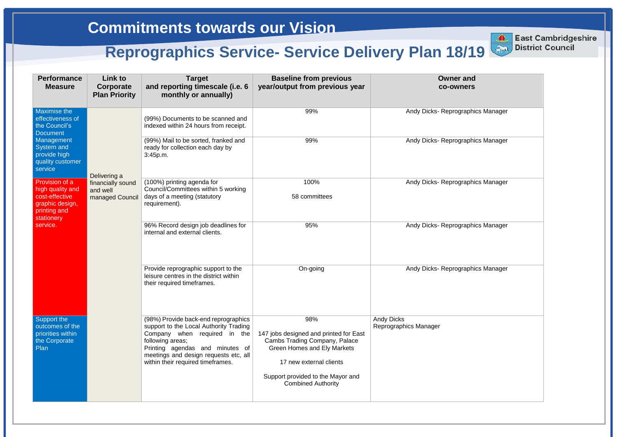| <b>Performance</b><br><b>Measure</b>                                                                  | <b>Link to</b><br>Corporate<br><b>Plan Priority</b> | <b>Target</b><br>and reporting timescale (i.e. 6<br>monthly or annually)                                                                                                                                                                            | <b>Baseline from previous</b><br>year/output from previous year                                                                                                                                                   | <b>Owner and</b><br><b>co-owners</b>       |
|-------------------------------------------------------------------------------------------------------|-----------------------------------------------------|-----------------------------------------------------------------------------------------------------------------------------------------------------------------------------------------------------------------------------------------------------|-------------------------------------------------------------------------------------------------------------------------------------------------------------------------------------------------------------------|--------------------------------------------|
| <b>Maximise the</b><br>effectiveness of<br>the Council's<br><b>Document</b>                           |                                                     | (99%) Documents to be scanned and<br>indexed within 24 hours from receipt.                                                                                                                                                                          | 99%                                                                                                                                                                                                               | Andy Dicks- Reprographics Manager          |
| Management<br>System and<br>provide high<br>quality customer<br>service.                              | Delivering a                                        | (99%) Mail to be sorted, franked and<br>ready for collection each day by<br>3:45p.m.                                                                                                                                                                | 99%                                                                                                                                                                                                               | Andy Dicks-Reprographics Manager           |
| Provision of a<br>high quality and<br>cost-effective<br>graphic design,<br>printing and<br>stationery | financially sound<br>and well<br>managed Council    | (100%) printing agenda for<br>Council/Committees within 5 working<br>days of a meeting (statutory<br>requirement).                                                                                                                                  | 100%<br>58 committees                                                                                                                                                                                             | Andy Dicks-Reprographics Manager           |
| service.                                                                                              |                                                     | 96% Record design job deadlines for<br>internal and external clients.                                                                                                                                                                               | 95%                                                                                                                                                                                                               | Andy Dicks- Reprographics Manager          |
|                                                                                                       |                                                     | Provide reprographic support to the<br>leisure centres in the district within<br>their required timeframes.                                                                                                                                         | On-going                                                                                                                                                                                                          | Andy Dicks- Reprographics Manager          |
| Support the<br>outcomes of the<br>priorities within<br>the Corporate<br>Plan                          |                                                     | (98%) Provide back-end reprographics<br>support to the Local Authority Trading<br>Company when required in the<br>following areas;<br>Printing agendas and minutes of<br>meetings and design requests etc, all<br>within their required timeframes. | 98%<br>147 jobs designed and printed for East<br>Cambs Trading Company, Palace<br><b>Green Homes and Ely Markets</b><br>17 new external clients<br>Support provided to the Mayor and<br><b>Combined Authority</b> | <b>Andy Dicks</b><br>Reprographics Manager |

| <b>East Cambridgeshire</b><br><b>District Council</b><br>19 |  |
|-------------------------------------------------------------|--|
| nd<br>ers                                                   |  |
| phics Manager                                               |  |
| phics Manager                                               |  |
| phics Manager                                               |  |

**East Cambridgeshire District Council**

# **Commitments towards our Vision**

# **Reprographics Service-Service Delivery Plan 18/19**